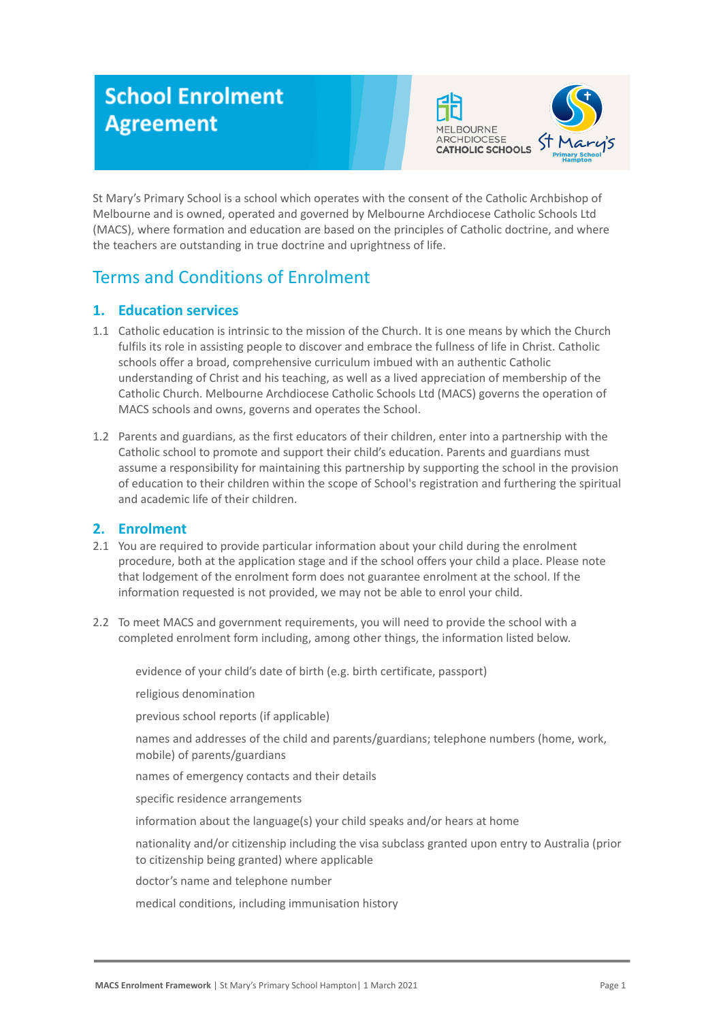# **School Enrolment Agreement**



St Mary's Primary School is a school which operates with the consent of the Catholic Archbishop of Melbourne and is owned, operated and governed by Melbourne Archdiocese Catholic Schools Ltd (MACS), where formation and education are based on the principles of Catholic doctrine, and where the teachers are outstanding in true doctrine and uprightness of life.

# Terms and Conditions of Enrolment

# **1. Education services**

- 1.1 Catholic education is intrinsic to the mission of the Church. It is one means by which the Church fulfils its role in assisting people to discover and embrace the fullness of life in Christ. Catholic schools offer a broad, comprehensive curriculum imbued with an authentic Catholic understanding of Christ and his teaching, as well as a lived appreciation of membership of the Catholic Church. Melbourne Archdiocese Catholic Schools Ltd (MACS) governs the operation of MACS schools and owns, governs and operates the School.
- 1.2 Parents and guardians, as the first educators of their children, enter into a partnership with the Catholic school to promote and support their child's education. Parents and guardians must assume a responsibility for maintaining this partnership by supporting the school in the provision of education to their children within the scope of School's registration and furthering the spiritual and academic life of their children.

# **2. Enrolment**

- 2.1 You are required to provide particular information about your child during the enrolment procedure, both at the application stage and if the school offers your child a place. Please note that lodgement of the enrolment form does not guarantee enrolment at the school. If the information requested is not provided, we may not be able to enrol your child.
- 2.2 To meet MACS and government requirements, you will need to provide the school with a completed enrolment form including, among other things, the information listed below.

evidence of your child's date of birth (e.g. birth certificate, passport)

religious denomination

previous school reports (if applicable)

names and addresses of the child and parents/guardians; telephone numbers (home, work, mobile) of parents/guardians

names of emergency contacts and their details

specific residence arrangements

information about the language(s) your child speaks and/or hears at home

nationality and/or citizenship including the visa subclass granted upon entry to Australia (prior to citizenship being granted) where applicable

doctor's name and telephone number

medical conditions, including immunisation history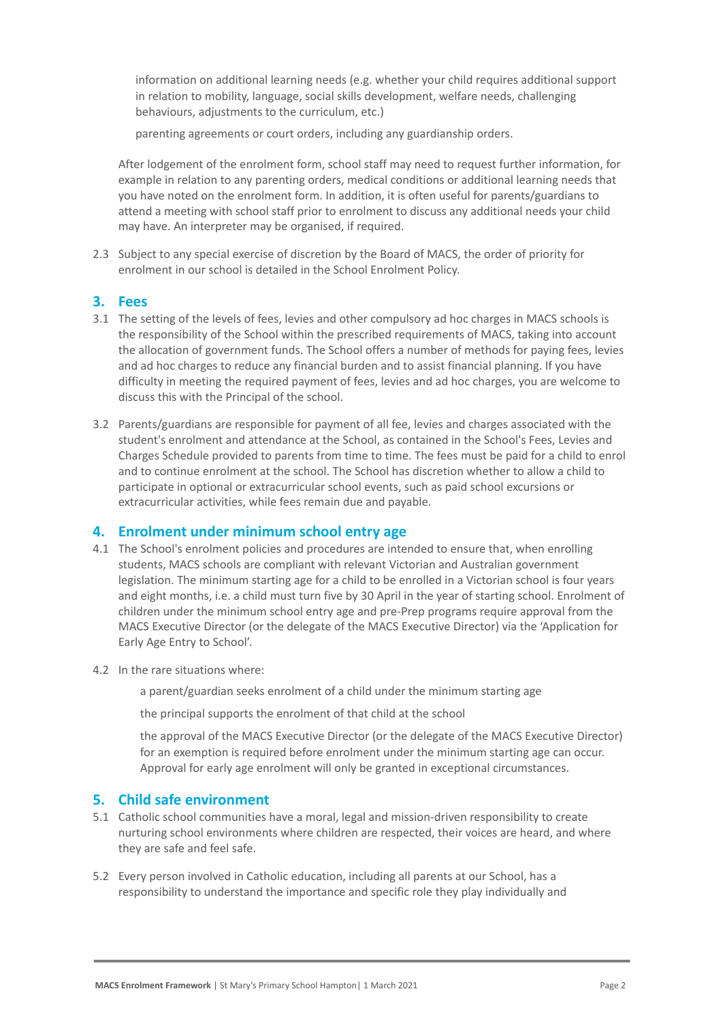information on additional learning needs (e.g. whether your child requires additional support in relation to mobility, language, social skills development, welfare needs, challenging behaviours, adjustments to the curriculum, etc.)

parenting agreements or court orders, including any guardianship orders.

After lodgement of the enrolment form, school staff may need to request further information, for example in relation to any parenting orders, medical conditions or additional learning needs that you have noted on the enrolment form. In addition, it is often useful for parents/guardians to attend a meeting with school staff prior to enrolment to discuss any additional needs your child may have. An interpreter may be organised, if required.

2.3 Subject to any special exercise of discretion by the Board of MACS, the order of priority for enrolment in our school is detailed in the School Enrolment Policy.

#### **3. Fees**

- 3.1 The setting of the levels of fees, levies and other compulsory ad hoc charges in MACS schools is the responsibility of the School within the prescribed requirements of MACS, taking into account the allocation of government funds. The School offers a number of methods for paying fees, levies and ad hoc charges to reduce any financial burden and to assist financial planning. If you have difficulty in meeting the required payment of fees, levies and ad hoc charges, you are welcome to discuss this with the Principal of the school.
- 3.2 Parents/guardians are responsible for payment of all fee, levies and charges associated with the student's enrolment and attendance at the School, as contained in the School's Fees, Levies and Charges Schedule provided to parents from time to time. The fees must be paid for a child to enrol and to continue enrolment at the school. The School has discretion whether to allow a child to participate in optional or extracurricular school events, such as paid school excursions or extracurricular activities, while fees remain due and payable.

#### **4. Enrolment under minimum school entry age**

- 4.1 The School's enrolment policies and procedures are intended to ensure that, when enrolling students, MACS schools are compliant with relevant Victorian and Australian government legislation. The minimum starting age for a child to be enrolled in a Victorian school is four years and eight months, i.e. a child must turn five by 30 April in the year of starting school. Enrolment of children under the minimum school entry age and pre-Prep programs require approval from the MACS Executive Director (or the delegate of the MACS Executive Director) via the 'Application for Early Age Entry to School'.
- 4.2 In the rare situations where:
	- a parent/guardian seeks enrolment of a child under the minimum starting age

the principal supports the enrolment of that child at the school

the approval of the MACS Executive Director (or the delegate of the MACS Executive Director) for an exemption is required before enrolment under the minimum starting age can occur. Approval for early age enrolment will only be granted in exceptional circumstances.

#### **5. Child safe environment**

- 5.1 Catholic school communities have a moral, legal and mission-driven responsibility to create nurturing school environments where children are respected, their voices are heard, and where they are safe and feel safe.
- 5.2 Every person involved in Catholic education, including all parents at our School, has a responsibility to understand the importance and specific role they play individually and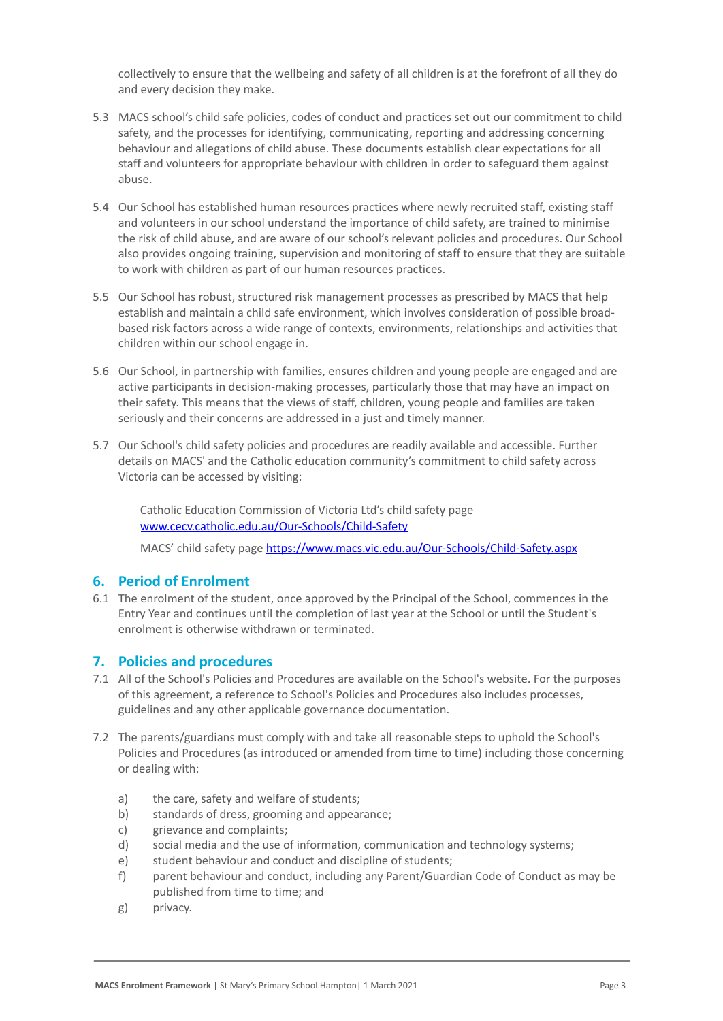collectively to ensure that the wellbeing and safety of all children is at the forefront of all they do and every decision they make.

- 5.3 MACS school's child safe policies, codes of conduct and practices set out our commitment to child safety, and the processes for identifying, communicating, reporting and addressing concerning behaviour and allegations of child abuse. These documents establish clear expectations for all staff and volunteers for appropriate behaviour with children in order to safeguard them against abuse.
- 5.4 Our School has established human resources practices where newly recruited staff, existing staff and volunteers in our school understand the importance of child safety, are trained to minimise the risk of child abuse, and are aware of our school's relevant policies and procedures. Our School also provides ongoing training, supervision and monitoring of staff to ensure that they are suitable to work with children as part of our human resources practices.
- 5.5 Our School has robust, structured risk management processes as prescribed by MACS that help establish and maintain a child safe environment, which involves consideration of possible broadbased risk factors across a wide range of contexts, environments, relationships and activities that children within our school engage in.
- 5.6 Our School, in partnership with families, ensures children and young people are engaged and are active participants in decision-making processes, particularly those that may have an impact on their safety. This means that the views of staff, children, young people and families are taken seriously and their concerns are addressed in a just and timely manner.
- 5.7 Our School's child safety policies and procedures are readily available and accessible. Further details on MACS' and the Catholic education community's commitment to child safety across Victoria can be accessed by visiting:

Catholic Education Commission of Victoria Ltd's child safety page [www.cecv.catholic.edu.au/Our-Schools/Child-Safety](http://www.cecv.catholic.edu.au/Our-Schools/Child-Safety)

● MACS' child safety page <https://www.macs.vic.edu.au/Our-Schools/Child-Safety.aspx>

# **6. Period of Enrolment**

6.1 The enrolment of the student, once approved by the Principal of the School, commences in the Entry Year and continues until the completion of last year at the School or until the Student's enrolment is otherwise withdrawn or terminated.

#### **7. Policies and procedures**

- 7.1 All of the School's Policies and Procedures are available on the School's website. For the purposes of this agreement, a reference to School's Policies and Procedures also includes processes, guidelines and any other applicable governance documentation.
- 7.2 The parents/guardians must comply with and take all reasonable steps to uphold the School's Policies and Procedures (as introduced or amended from time to time) including those concerning or dealing with:
	- a) the care, safety and welfare of students;
	- b) standards of dress, grooming and appearance;
	- c) grievance and complaints;
	- d) social media and the use of information, communication and technology systems;
	- e) student behaviour and conduct and discipline of students;
	- f) parent behaviour and conduct, including any Parent/Guardian Code of Conduct as may be published from time to time; and
	- g) privacy.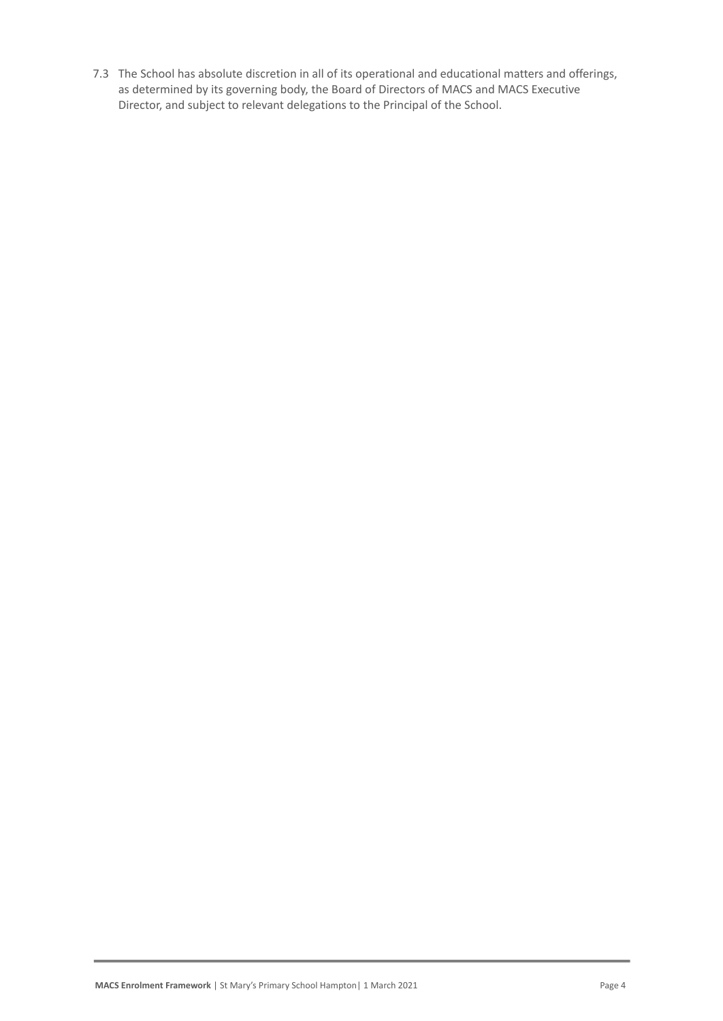7.3 The School has absolute discretion in all of its operational and educational matters and offerings, as determined by its governing body, the Board of Directors of MACS and MACS Executive Director, and subject to relevant delegations to the Principal of the School.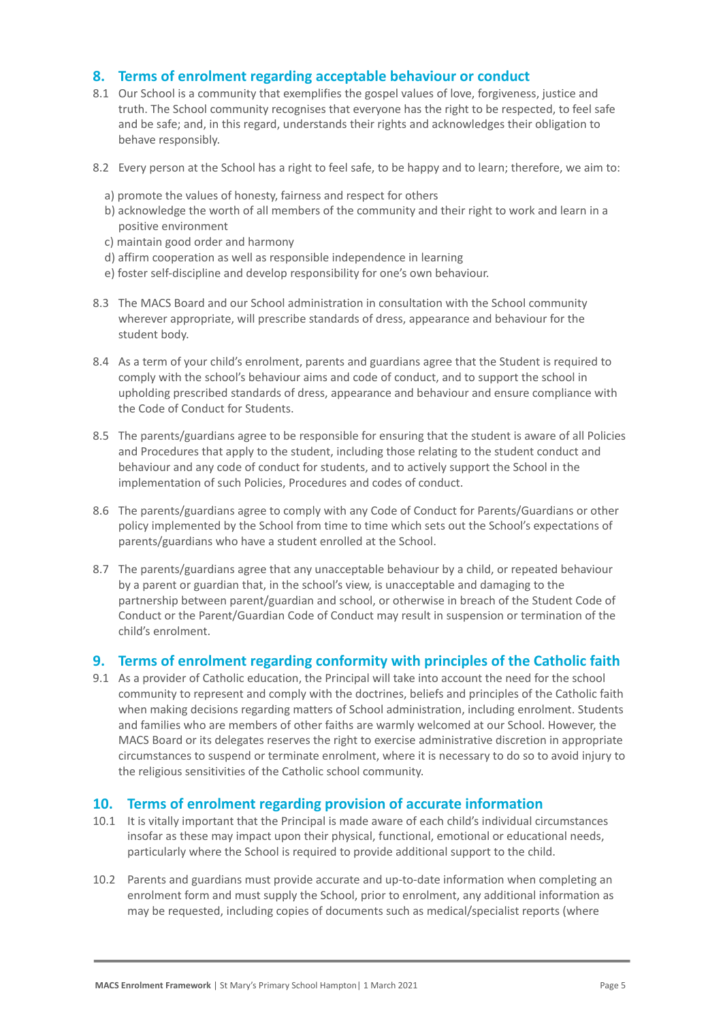#### **8. Terms of enrolment regarding acceptable behaviour or conduct**

- 8.1 Our School is a community that exemplifies the gospel values of love, forgiveness, justice and truth. The School community recognises that everyone has the right to be respected, to feel safe and be safe; and, in this regard, understands their rights and acknowledges their obligation to behave responsibly.
- 8.2 Every person at the School has a right to feel safe, to be happy and to learn; therefore, we aim to:
	- a) promote the values of honesty, fairness and respect for others
	- b) acknowledge the worth of all members of the community and their right to work and learn in a positive environment
	- c) maintain good order and harmony
	- d) affirm cooperation as well as responsible independence in learning
	- e) foster self-discipline and develop responsibility for one's own behaviour.
- 8.3 The MACS Board and our School administration in consultation with the School community wherever appropriate, will prescribe standards of dress, appearance and behaviour for the student body.
- 8.4 As a term of your child's enrolment, parents and guardians agree that the Student is required to comply with the school's behaviour aims and code of conduct, and to support the school in upholding prescribed standards of dress, appearance and behaviour and ensure compliance with the Code of Conduct for Students.
- 8.5 The parents/guardians agree to be responsible for ensuring that the student is aware of all Policies and Procedures that apply to the student, including those relating to the student conduct and behaviour and any code of conduct for students, and to actively support the School in the implementation of such Policies, Procedures and codes of conduct.
- 8.6 The parents/guardians agree to comply with any Code of Conduct for Parents/Guardians or other policy implemented by the School from time to time which sets out the School's expectations of parents/guardians who have a student enrolled at the School.
- 8.7 The parents/guardians agree that any unacceptable behaviour by a child, or repeated behaviour by a parent or guardian that, in the school's view, is unacceptable and damaging to the partnership between parent/guardian and school, or otherwise in breach of the Student Code of Conduct or the Parent/Guardian Code of Conduct may result in suspension or termination of the child's enrolment.

#### **9. Terms of enrolment regarding conformity with principles of the Catholic faith**

9.1 As a provider of Catholic education, the Principal will take into account the need for the school community to represent and comply with the doctrines, beliefs and principles of the Catholic faith when making decisions regarding matters of School administration, including enrolment. Students and families who are members of other faiths are warmly welcomed at our School. However, the MACS Board or its delegates reserves the right to exercise administrative discretion in appropriate circumstances to suspend or terminate enrolment, where it is necessary to do so to avoid injury to the religious sensitivities of the Catholic school community.

#### **10. Terms of enrolment regarding provision of accurate information**

- 10.1 It is vitally important that the Principal is made aware of each child's individual circumstances insofar as these may impact upon their physical, functional, emotional or educational needs, particularly where the School is required to provide additional support to the child.
- 10.2 Parents and guardians must provide accurate and up-to-date information when completing an enrolment form and must supply the School, prior to enrolment, any additional information as may be requested, including copies of documents such as medical/specialist reports (where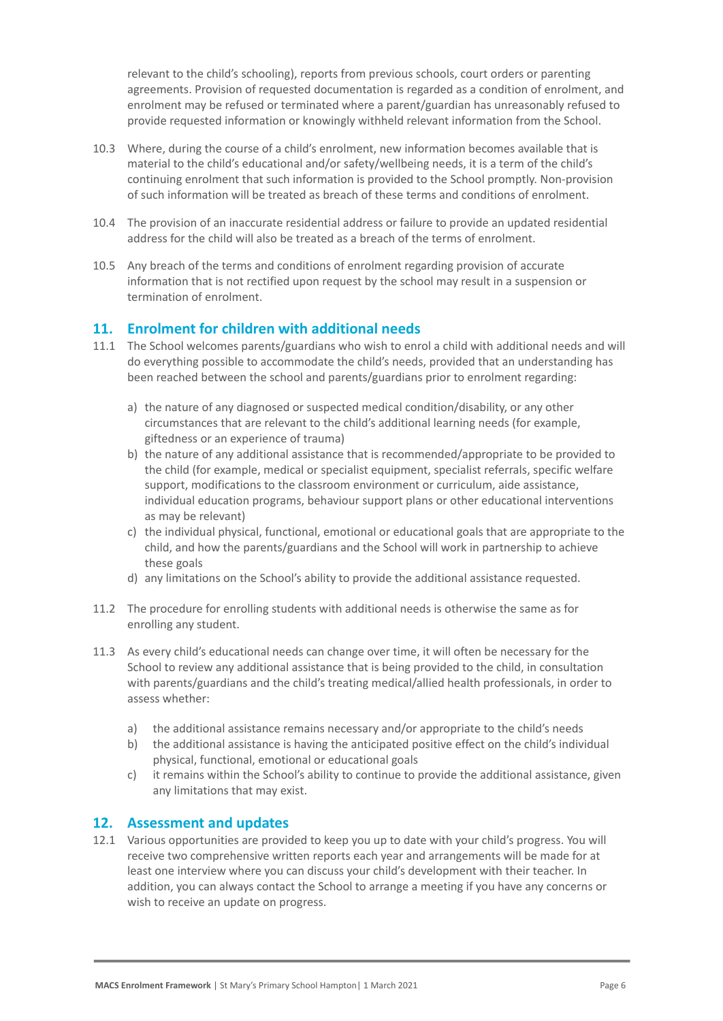relevant to the child's schooling), reports from previous schools, court orders or parenting agreements. Provision of requested documentation is regarded as a condition of enrolment, and enrolment may be refused or terminated where a parent/guardian has unreasonably refused to provide requested information or knowingly withheld relevant information from the School.

- 10.3 Where, during the course of a child's enrolment, new information becomes available that is material to the child's educational and/or safety/wellbeing needs, it is a term of the child's continuing enrolment that such information is provided to the School promptly. Non-provision of such information will be treated as breach of these terms and conditions of enrolment.
- 10.4 The provision of an inaccurate residential address or failure to provide an updated residential address for the child will also be treated as a breach of the terms of enrolment.
- 10.5 Any breach of the terms and conditions of enrolment regarding provision of accurate information that is not rectified upon request by the school may result in a suspension or termination of enrolment.

### **11. Enrolment for children with additional needs**

- 11.1 The School welcomes parents/guardians who wish to enrol a child with additional needs and will do everything possible to accommodate the child's needs, provided that an understanding has been reached between the school and parents/guardians prior to enrolment regarding:
	- a) the nature of any diagnosed or suspected medical condition/disability, or any other circumstances that are relevant to the child's additional learning needs (for example, giftedness or an experience of trauma)
	- b) the nature of any additional assistance that is recommended/appropriate to be provided to the child (for example, medical or specialist equipment, specialist referrals, specific welfare support, modifications to the classroom environment or curriculum, aide assistance, individual education programs, behaviour support plans or other educational interventions as may be relevant)
	- c) the individual physical, functional, emotional or educational goals that are appropriate to the child, and how the parents/guardians and the School will work in partnership to achieve these goals
	- d) any limitations on the School's ability to provide the additional assistance requested.
- 11.2 The procedure for enrolling students with additional needs is otherwise the same as for enrolling any student.
- 11.3 As every child's educational needs can change over time, it will often be necessary for the School to review any additional assistance that is being provided to the child, in consultation with parents/guardians and the child's treating medical/allied health professionals, in order to assess whether:
	- a) the additional assistance remains necessary and/or appropriate to the child's needs
	- b) the additional assistance is having the anticipated positive effect on the child's individual physical, functional, emotional or educational goals
	- c) it remains within the School's ability to continue to provide the additional assistance, given any limitations that may exist.

#### **12. Assessment and updates**

12.1 Various opportunities are provided to keep you up to date with your child's progress. You will receive two comprehensive written reports each year and arrangements will be made for at least one interview where you can discuss your child's development with their teacher. In addition, you can always contact the School to arrange a meeting if you have any concerns or wish to receive an update on progress.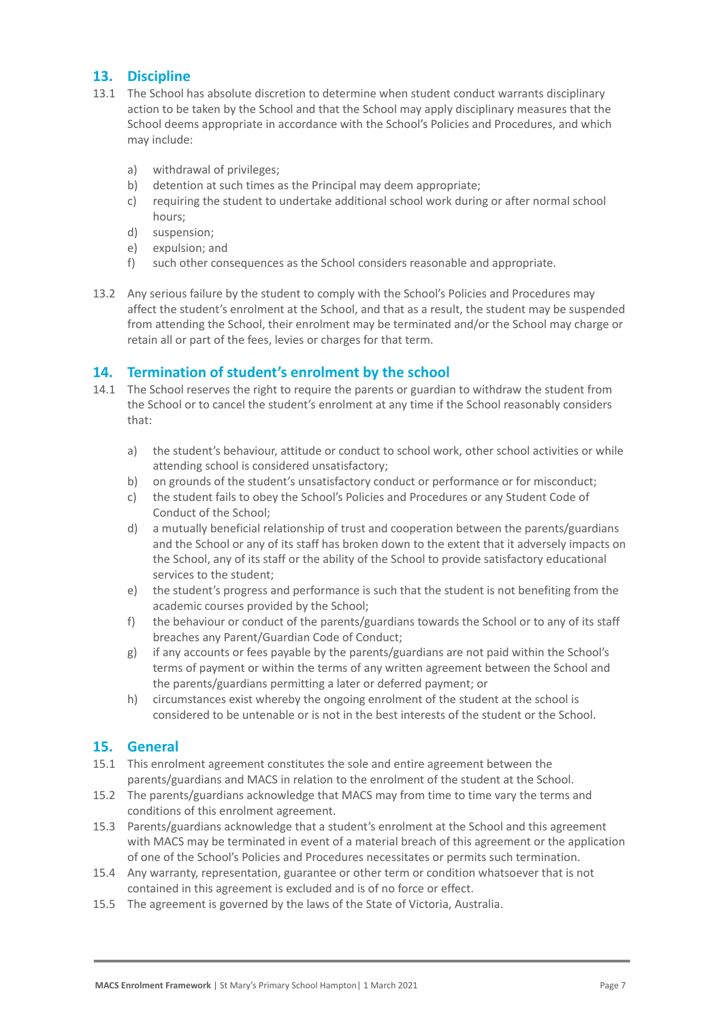# **13. Discipline**

- 13.1 The School has absolute discretion to determine when student conduct warrants disciplinary action to be taken by the School and that the School may apply disciplinary measures that the School deems appropriate in accordance with the School's Policies and Procedures, and which may include:
	- a) withdrawal of privileges;
	- b) detention at such times as the Principal may deem appropriate;
	- c) requiring the student to undertake additional school work during or after normal school hours;
	- d) suspension;
	- e) expulsion; and
	- f) such other consequences as the School considers reasonable and appropriate.
- 13.2 Any serious failure by the student to comply with the School's Policies and Procedures may affect the student's enrolment at the School, and that as a result, the student may be suspended from attending the School, their enrolment may be terminated and/or the School may charge or retain all or part of the fees, levies or charges for that term.

# **14. Termination of student's enrolment by the school**

- 14.1 The School reserves the right to require the parents or guardian to withdraw the student from the School or to cancel the student's enrolment at any time if the School reasonably considers that:
	- a) the student's behaviour, attitude or conduct to school work, other school activities or while attending school is considered unsatisfactory;
	- b) on grounds of the student's unsatisfactory conduct or performance or for misconduct;
	- c) the student fails to obey the School's Policies and Procedures or any Student Code of Conduct of the School;
	- d) a mutually beneficial relationship of trust and cooperation between the parents/guardians and the School or any of its staff has broken down to the extent that it adversely impacts on the School, any of its staff or the ability of the School to provide satisfactory educational services to the student;
	- e) the student's progress and performance is such that the student is not benefiting from the academic courses provided by the School;
	- f) the behaviour or conduct of the parents/guardians towards the School or to any of its staff breaches any Parent/Guardian Code of Conduct;
	- g) if any accounts or fees payable by the parents/guardians are not paid within the School's terms of payment or within the terms of any written agreement between the School and the parents/guardians permitting a later or deferred payment; or
	- h) circumstances exist whereby the ongoing enrolment of the student at the school is considered to be untenable or is not in the best interests of the student or the School.

#### **15. General**

- 15.1 This enrolment agreement constitutes the sole and entire agreement between the parents/guardians and MACS in relation to the enrolment of the student at the School.
- 15.2 The parents/guardians acknowledge that MACS may from time to time vary the terms and conditions of this enrolment agreement.
- 15.3 Parents/guardians acknowledge that a student's enrolment at the School and this agreement with MACS may be terminated in event of a material breach of this agreement or the application of one of the School's Policies and Procedures necessitates or permits such termination.
- 15.4 Any warranty, representation, guarantee or other term or condition whatsoever that is not contained in this agreement is excluded and is of no force or effect.
- 15.5 The agreement is governed by the laws of the State of Victoria, Australia.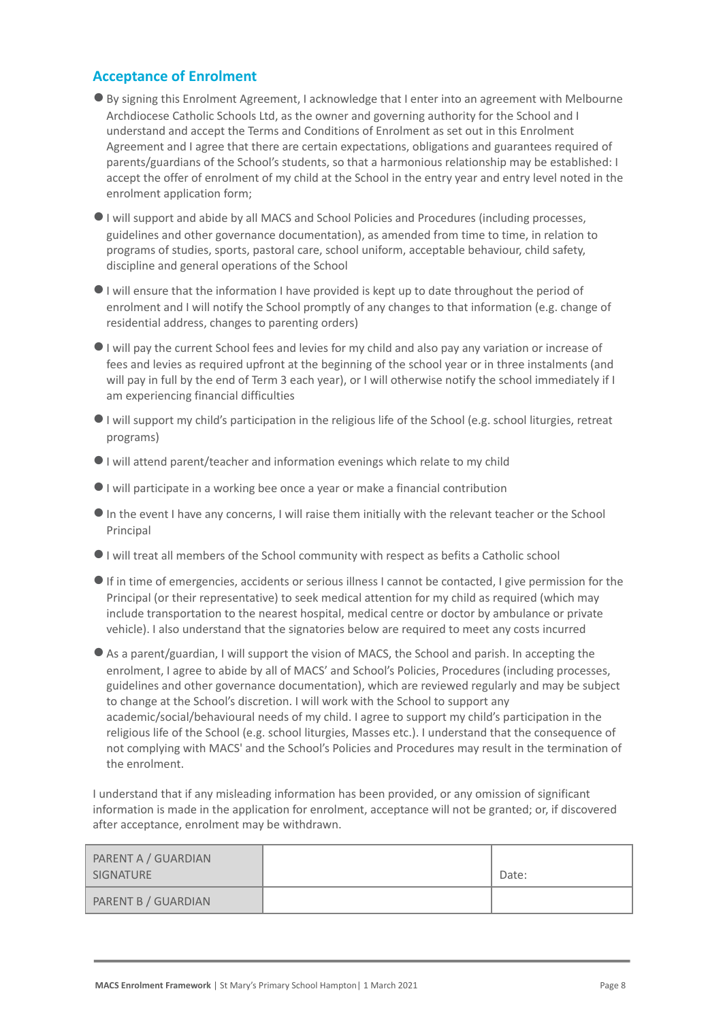### **Acceptance of Enrolment**

- ●By signing this Enrolment Agreement, I acknowledge that I enter into an agreement with Melbourne Archdiocese Catholic Schools Ltd, as the owner and governing authority for the School and I understand and accept the Terms and Conditions of Enrolment as set out in this Enrolment Agreement and I agree that there are certain expectations, obligations and guarantees required of parents/guardians of the School's students, so that a harmonious relationship may be established: I accept the offer of enrolment of my child at the School in the entry year and entry level noted in the enrolment application form;
- ●I will support and abide by all MACS and School Policies and Procedures (including processes, guidelines and other governance documentation), as amended from time to time, in relation to programs of studies, sports, pastoral care, school uniform, acceptable behaviour, child safety, discipline and general operations of the School
- ●I will ensure that the information I have provided is kept up to date throughout the period of enrolment and I will notify the School promptly of any changes to that information (e.g. change of residential address, changes to parenting orders)
- ●I will pay the current School fees and levies for my child and also pay any variation or increase of fees and levies as required upfront at the beginning of the school year or in three instalments (and will pay in full by the end of Term 3 each year), or I will otherwise notify the school immediately if I am experiencing financial difficulties
- ●I will support my child's participation in the religious life of the School (e.g. school liturgies, retreat programs)
- ●I will attend parent/teacher and information evenings which relate to my child
- ●I will participate in a working bee once a year or make a financial contribution
- ●In the event I have any concerns, I will raise them initially with the relevant teacher or the School Principal
- ●I will treat all members of the School community with respect as befits a Catholic school
- ●If in time of emergencies, accidents or serious illness I cannot be contacted, I give permission for the Principal (or their representative) to seek medical attention for my child as required (which may include transportation to the nearest hospital, medical centre or doctor by ambulance or private vehicle). I also understand that the signatories below are required to meet any costs incurred
- ●As a parent/guardian, I will support the vision of MACS, the School and parish. In accepting the enrolment, I agree to abide by all of MACS' and School's Policies, Procedures (including processes, guidelines and other governance documentation), which are reviewed regularly and may be subject to change at the School's discretion. I will work with the School to support any academic/social/behavioural needs of my child. I agree to support my child's participation in the religious life of the School (e.g. school liturgies, Masses etc.). I understand that the consequence of not complying with MACS' and the School's Policies and Procedures may result in the termination of the enrolment.

I understand that if any misleading information has been provided, or any omission of significant information is made in the application for enrolment, acceptance will not be granted; or, if discovered after acceptance, enrolment may be withdrawn.

| PARENT A / GUARDIAN<br>SIGNATURE | Date: |
|----------------------------------|-------|
| PARENT B / GUARDIAN              |       |